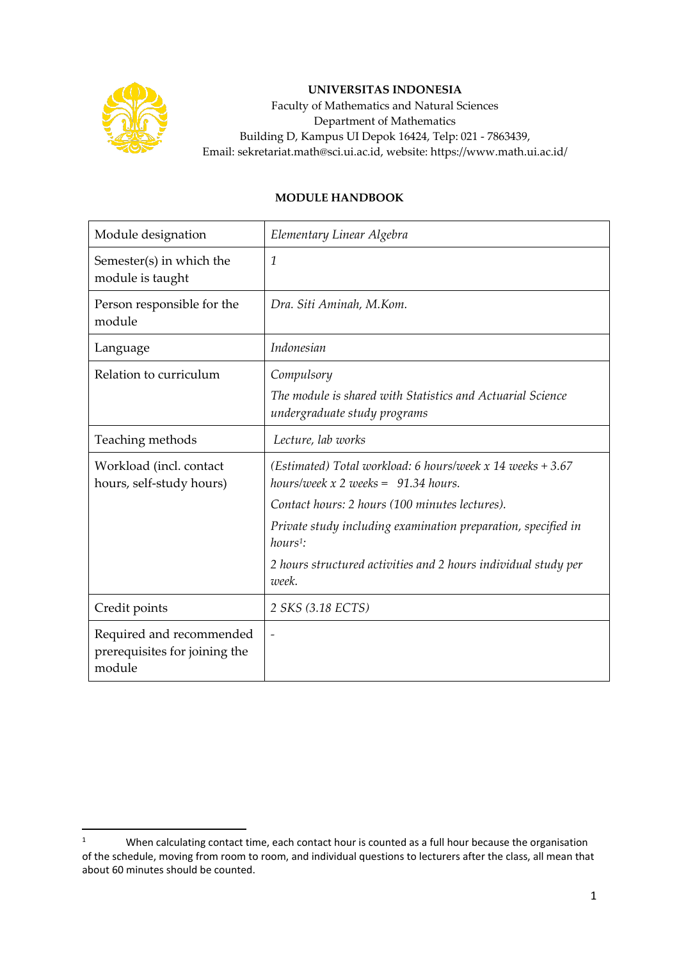

## **UNIVERSITAS INDONESIA**

Faculty of Mathematics and Natural Sciences Department of Mathematics Building D, Kampus UI Depok 16424, Telp: 021 - 7863439, Email: sekretariat.math@sci.ui.ac.id, website: https://www.math.ui.ac.id/

## **MODULE HANDBOOK**

| Module designation                                                  | Elementary Linear Algebra                                                                                                                              |
|---------------------------------------------------------------------|--------------------------------------------------------------------------------------------------------------------------------------------------------|
| Semester(s) in which the<br>module is taught                        | 1                                                                                                                                                      |
| Person responsible for the<br>module                                | Dra. Siti Aminah, M.Kom.                                                                                                                               |
| Language                                                            | Indonesian                                                                                                                                             |
| Relation to curriculum                                              | Compulsory<br>The module is shared with Statistics and Actuarial Science<br>undergraduate study programs                                               |
| Teaching methods                                                    | Lecture, lab works                                                                                                                                     |
| Workload (incl. contact<br>hours, self-study hours)                 | (Estimated) Total workload: 6 hours/week x 14 weeks $+3.67$<br>hours/week $x$ 2 weeks = 91.34 hours.<br>Contact hours: 2 hours (100 minutes lectures). |
|                                                                     | Private study including examination preparation, specified in<br>$hours1$ :                                                                            |
|                                                                     | 2 hours structured activities and 2 hours individual study per<br>week.                                                                                |
| Credit points                                                       | 2 SKS (3.18 ECTS)                                                                                                                                      |
| Required and recommended<br>prerequisites for joining the<br>module | $\overline{\phantom{0}}$                                                                                                                               |

<sup>&</sup>lt;sup>1</sup> When calculating contact time, each contact hour is counted as a full hour because the organisation of the schedule, moving from room to room, and individual questions to lecturers after the class, all mean that about 60 minutes should be counted.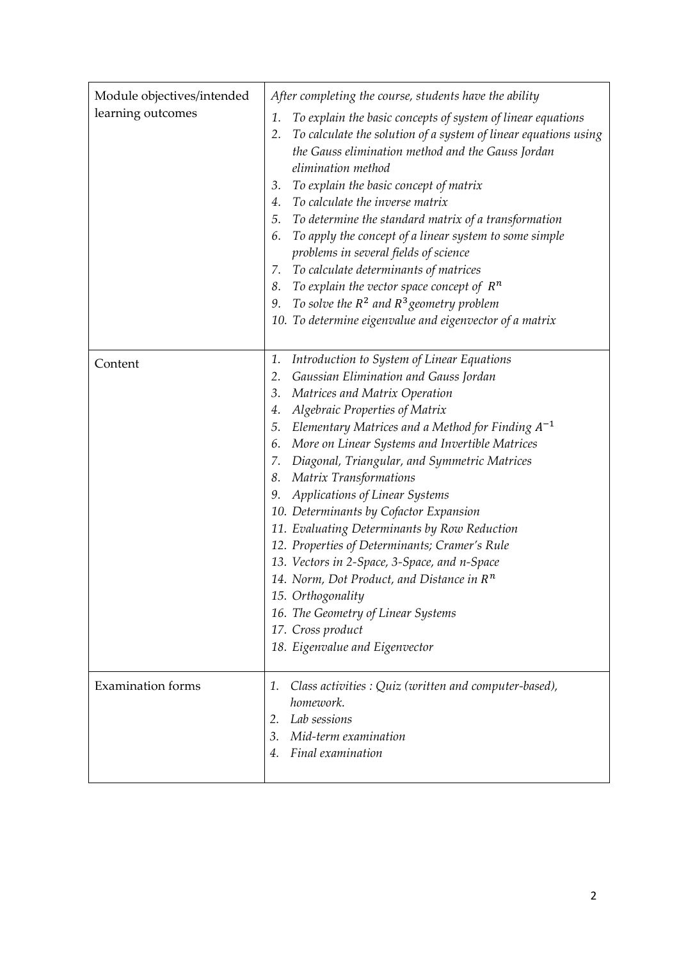| Module objectives/intended<br>learning outcomes | After completing the course, students have the ability<br>To explain the basic concepts of system of linear equations<br>1.<br>To calculate the solution of a system of linear equations using<br>2.<br>the Gauss elimination method and the Gauss Jordan<br>elimination method<br>To explain the basic concept of matrix<br>3.<br>4. To calculate the inverse matrix<br>5. To determine the standard matrix of a transformation<br>To apply the concept of a linear system to some simple<br>6.<br>problems in several fields of science<br>7. To calculate determinants of matrices<br>8. To explain the vector space concept of $R^n$<br>9. To solve the $R^2$ and $R^3$ geometry problem<br>10. To determine eigenvalue and eigenvector of a matrix                                     |
|-------------------------------------------------|---------------------------------------------------------------------------------------------------------------------------------------------------------------------------------------------------------------------------------------------------------------------------------------------------------------------------------------------------------------------------------------------------------------------------------------------------------------------------------------------------------------------------------------------------------------------------------------------------------------------------------------------------------------------------------------------------------------------------------------------------------------------------------------------|
| Content                                         | Introduction to System of Linear Equations<br>1.<br>Gaussian Elimination and Gauss Jordan<br>2.<br>Matrices and Matrix Operation<br>3.<br><b>Algebraic Properties of Matrix</b><br>4.<br>5. Elementary Matrices and a Method for Finding $A^{-1}$<br>6. More on Linear Systems and Invertible Matrices<br>7. Diagonal, Triangular, and Symmetric Matrices<br>8. Matrix Transformations<br>Applications of Linear Systems<br>9.<br>10. Determinants by Cofactor Expansion<br>11. Evaluating Determinants by Row Reduction<br>12. Properties of Determinants; Cramer's Rule<br>13. Vectors in 2-Space, 3-Space, and n-Space<br>14. Norm, Dot Product, and Distance in $R^n$<br>15. Orthogonality<br>16. The Geometry of Linear Systems<br>17. Cross product<br>18. Eigenvalue and Eigenvector |
| <b>Examination forms</b>                        | Class activities : Quiz (written and computer-based),<br>1.<br>homework.<br>2. Lab sessions<br>3.<br>Mid-term examination<br>Final examination<br>4.                                                                                                                                                                                                                                                                                                                                                                                                                                                                                                                                                                                                                                        |